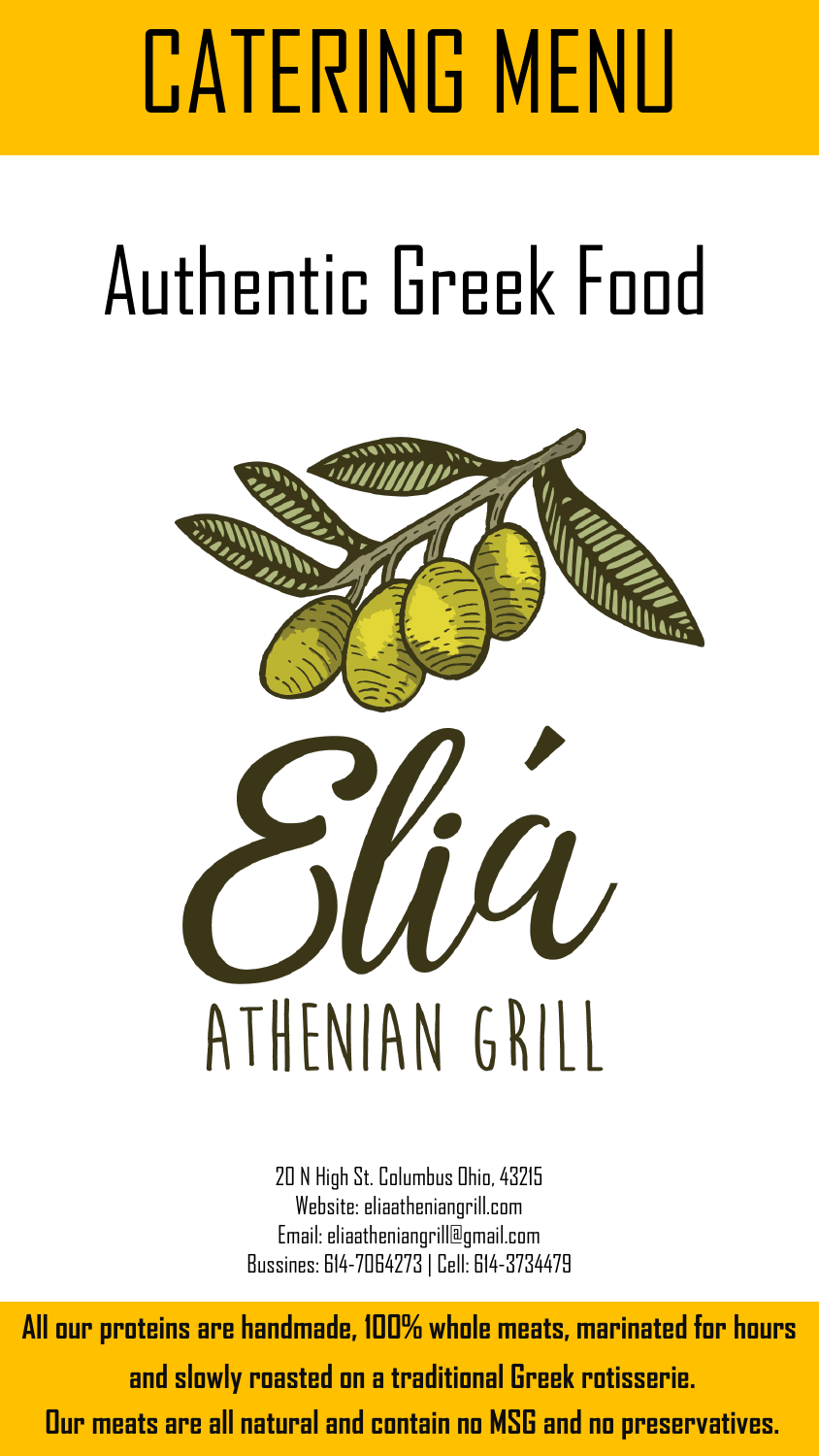# CATERING MENU

# Authentic Greek Food



20 N High St. Columbus Ohio, 43215 Website: eliaatheniangrill.com Email: eliaatheniangrill@gmail.com Bussines: 614-7064273 | Cell: 614-3734479

**All our proteins are handmade, 100% whole meats, marinated for hours**

 **and slowly roasted on a traditional Greek rotisserie.** 

 **Our meats are all natural and contain no MSG and no preservatives.**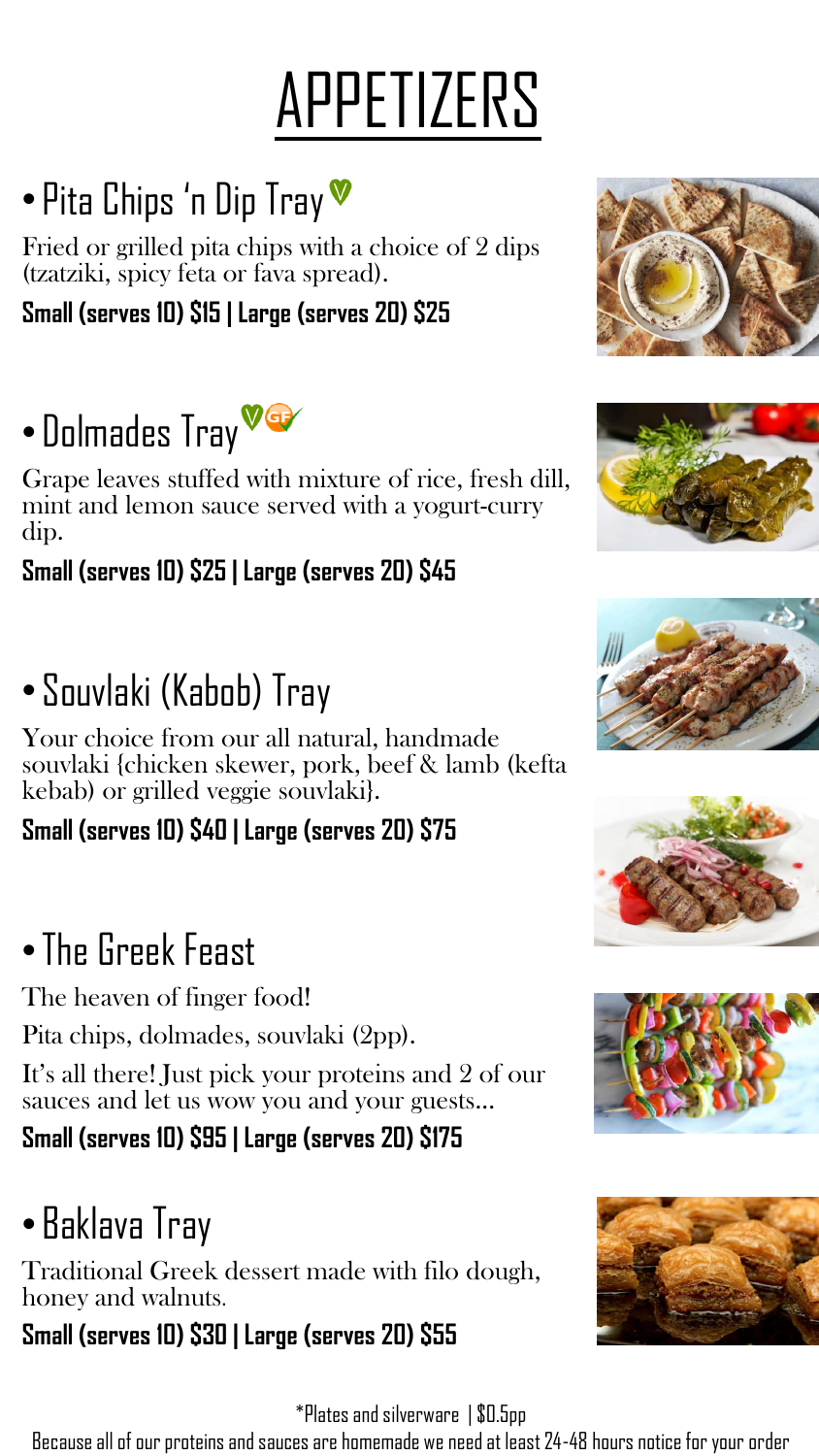## APPETIZERS

## • Pita Chips 'n Dip Tray

Fried or grilled pita chips with a choice of 2 dips (tzatziki, spicy feta or fava spread).

#### **Small (serves 10) \$15 | Large (serves 20) \$25**

### • Dolmades Tray

Grape leaves stuffed with mixture of rice, fresh dill, mint and lemon sauce served with a yogurt-curry dip.

#### **Small (serves 10) \$25 | Large (serves 20) \$45**

#### • Souvlaki (Kabob) Tray

Your choice from our all natural, handmade souvlaki {chicken skewer, pork, beef & lamb (kefta kebab) or grilled veggie souvlaki}.

#### **Small (serves 10) \$40 | Large (serves 20) \$75**

#### •The Greek Feast

The heaven of finger food!

Pita chips, dolmades, souvlaki (2pp).

It's all there! Just pick your proteins and 2 of our sauces and let us wow you and your guests...

#### **Small (serves 10) \$95 | Large (serves 20) \$175**

#### • Baklava Tray

Traditional Greek dessert made with filo dough, honey and walnuts.

#### **Small (serves 10) \$30 | Large (serves 20) \$55**

\*Plates and silverware | \$0.5pp

Because all of our proteins and sauces are homemade we need at least 24-48 hours notice for your order











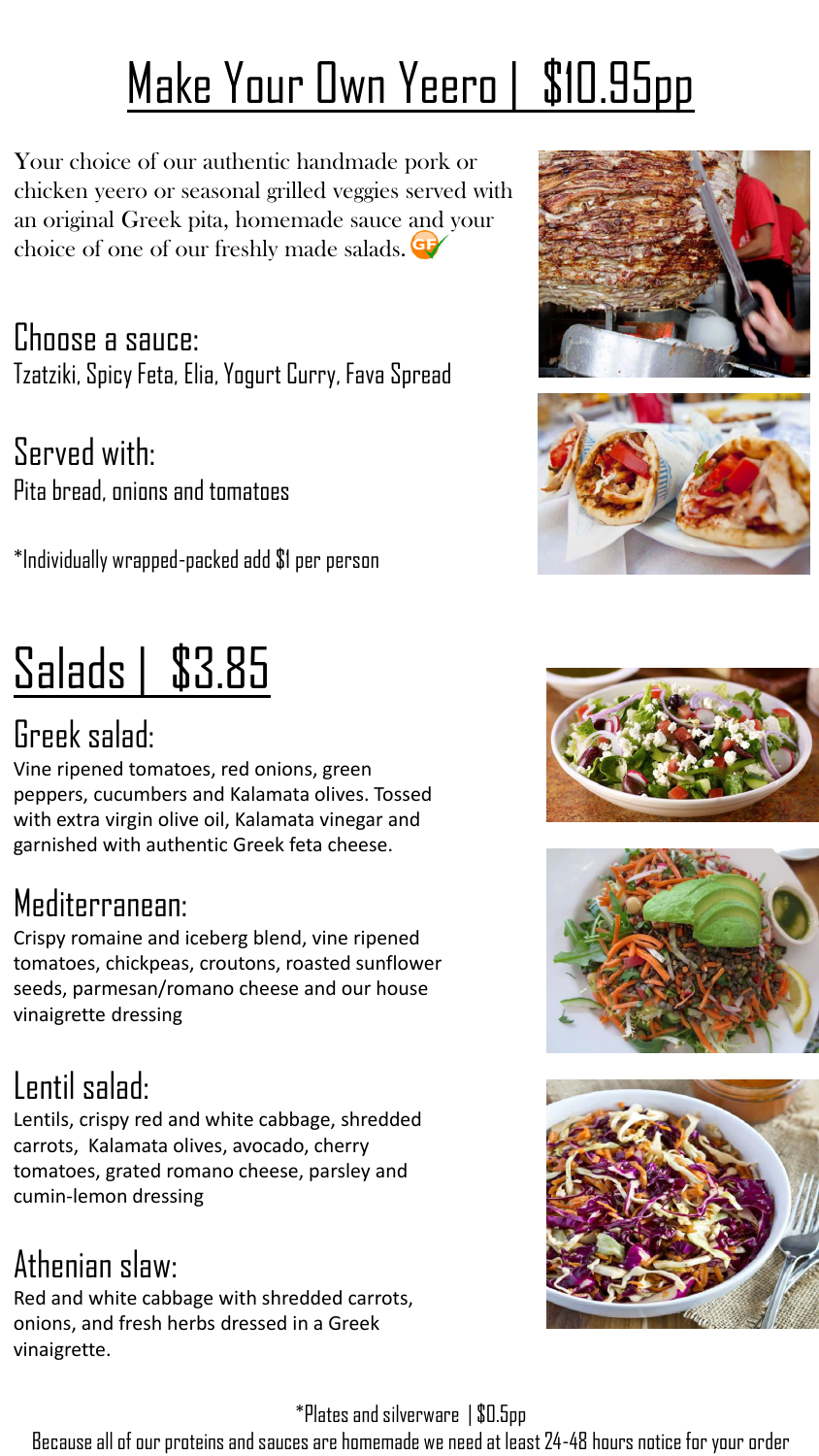## Make Your Own Yeero | \$10.95pp

Your choice of our authentic handmade pork or chicken yeero or seasonal grilled veggies served with an original Greek pita, homemade sauce and your choice of one of our freshly made salads.

Choose a sauce: Tzatziki, Spicy Feta, Elia, Yogurt Curry, Fava Spread

Served with: Pita bread, onions and tomatoes

\*Individually wrapped-packed add \$1 per person

## Salads | \$3.85

#### Greek salad:

Vine ripened tomatoes, red onions, green peppers, cucumbers and Kalamata olives. Tossed with extra virgin olive oil, Kalamata vinegar and garnished with authentic Greek feta cheese.

#### Mediterranean:

Crispy romaine and iceberg blend, vine ripened tomatoes, chickpeas, croutons, roasted sunflower seeds, parmesan/romano cheese and our house vinaigrette dressing

#### Lentil salad:

Lentils, crispy red and white cabbage, shredded carrots, Kalamata olives, avocado, cherry tomatoes, grated romano cheese, parsley and cumin-lemon dressing

#### Athenian slaw:

Red and white cabbage with shredded carrots, onions, and fresh herbs dressed in a Greek vinaigrette.

#### \*Plates and silverware | \$0.5pp

Because all of our proteins and sauces are homemade we need at least 24-48 hours notice for your order